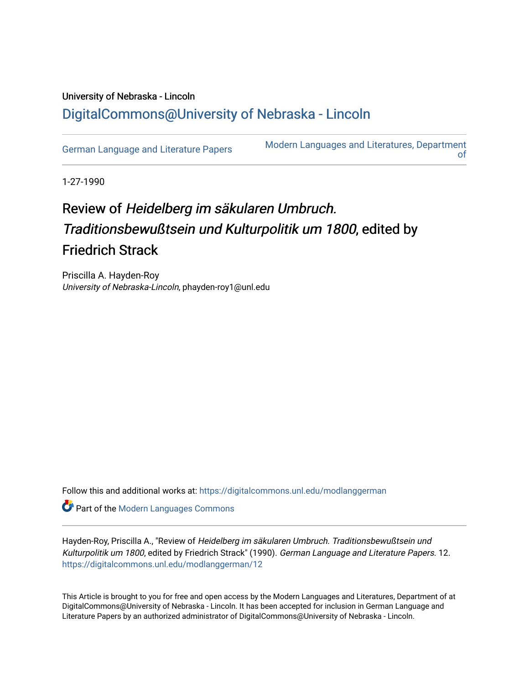## University of Nebraska - Lincoln [DigitalCommons@University of Nebraska - Lincoln](https://digitalcommons.unl.edu/)

[German Language and Literature Papers](https://digitalcommons.unl.edu/modlanggerman) Modern Languages and Literatures, Department [of](https://digitalcommons.unl.edu/modernlanguages) 

1-27-1990

## Review of Heidelberg im säkularen Umbruch. Traditionsbewußtsein und Kulturpolitik um 1800, edited by Friedrich Strack

Priscilla A. Hayden-Roy University of Nebraska-Lincoln, phayden-roy1@unl.edu

Follow this and additional works at: [https://digitalcommons.unl.edu/modlanggerman](https://digitalcommons.unl.edu/modlanggerman?utm_source=digitalcommons.unl.edu%2Fmodlanggerman%2F12&utm_medium=PDF&utm_campaign=PDFCoverPages) 

Part of the [Modern Languages Commons](http://network.bepress.com/hgg/discipline/1130?utm_source=digitalcommons.unl.edu%2Fmodlanggerman%2F12&utm_medium=PDF&utm_campaign=PDFCoverPages) 

Hayden-Roy, Priscilla A., "Review of Heidelberg im säkularen Umbruch. Traditionsbewußtsein und Kulturpolitik um 1800, edited by Friedrich Strack" (1990). German Language and Literature Papers. 12. [https://digitalcommons.unl.edu/modlanggerman/12](https://digitalcommons.unl.edu/modlanggerman/12?utm_source=digitalcommons.unl.edu%2Fmodlanggerman%2F12&utm_medium=PDF&utm_campaign=PDFCoverPages)

This Article is brought to you for free and open access by the Modern Languages and Literatures, Department of at DigitalCommons@University of Nebraska - Lincoln. It has been accepted for inclusion in German Language and Literature Papers by an authorized administrator of DigitalCommons@University of Nebraska - Lincoln.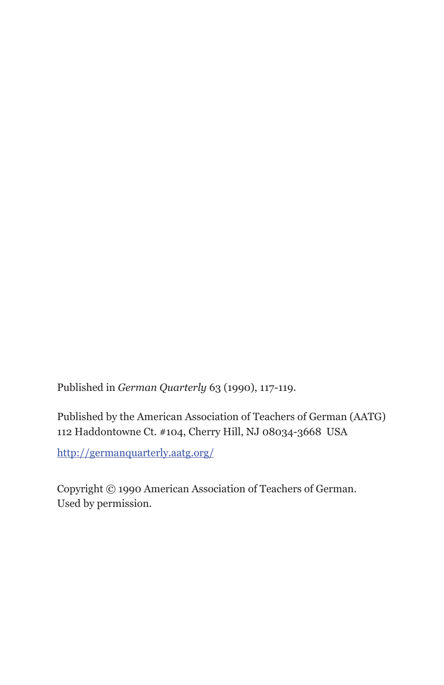Published in *German Quarterly* 63 (1990), 117-119.

Published by the American Association of Teachers of German (AATG) 112 Haddontowne Ct. #104, Cherry Hill, NJ 08034-3668 USA

http://germanquarterly.aatg.org/

Copyright © 1990 American Association of Teachers of German. Used by permission.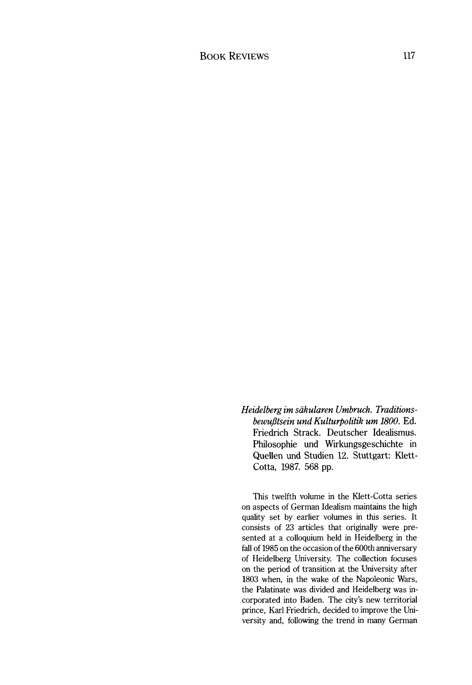*Heidelberg irn sakularen Urnbruch. Traditionsbewujjtsein und Kulturpolitik urn 1800.* Ed. Friedrich Strack. Deutscher Idealismus. Philosophie und Wirkungsgeschichte in Quellen und Studien 12. Stuttgart: Klett-Cotta, 1987. 568 pp.

This twelfth volume in the Nett-Cotta series on aspects of German Idealism maintains the high quality set by earlier volumes in this series. It consists of 23 articles that originally were presented at a colloquium held in Heidelberg in the fall of 1985 on the occasion of the 600th anniversary of Heidelberg University. The collection focuses on the period of transition at the University after 1803 when, in the wake of the Napoleonic Wars, the Palatinate was divided and Heidelberg was incorporated into Baden. The city's new territorial prince, Karl Friedrich, decided to improve the University and, following the trend in many German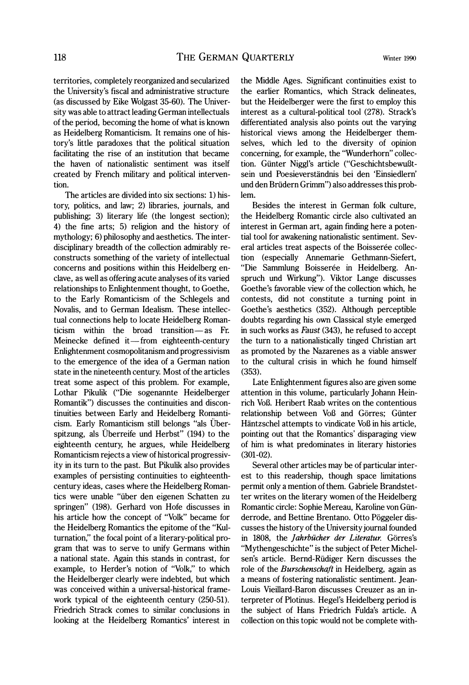territories, completely reorganized and secularized the University's fiscal and administrative structure (as discussed by Eke Wolgast 35-60). The University was able to attract leading German intellectuals of the period, becoming the home of what is known as Heidelberg Romanticism. It remains one of history's little paradoxes that the political situation facilitating the rise of an institution that became the haven of nationalistic sentiment was itself created by French military and political intervention.

The articles are divided into six sections: 1) history, politics, and law; 2) libraries, journals, and publishing; 3) literary life (the longest section); 4) the fine arts; 5) religion and the history of mythology; 6) philosophy and aesthetics. The interdisciplinary breadth of the collection admirably reconstructs something of the variety of intellectual concerns and positions within this Heidelberg enclave, as well as offering acute analyses of its varied relationships to Enlightenment thought, to Goethe, to the Early Romanticism of the Schlegels and Novalis, and to German Idealism. These intellectual connections help to locate Heidelberg Romanticism within the broad transition—as Fr. tual connections help to locate Heidelberg Roman-<br>ticism within the broad transition—as Fr.<br>Meinecke defined it—from eighteenth-century Enlightenment cosmopolitanism and progressivism to the emergence of the idea of a German nation state in the nineteenth century. Most of the articles treat some aspect of this problem. For example, Lothar Pikulik ("Die sogenannte Heidelberger Romantik") discusses the continuities and discontinuities between Early and Heidelberg Romanticism. Early Romanticism still belongs "als Überspitzung, als Uberreife und Herbst"  $(194)$  to the eighteenth century, he argues, while Heidelberg Romanticism rejects a view of historical progressivity in its turn to the past. But Pikulik also provides examples of persisting continuities to eighteenthcentury ideas, cases where the Heidelberg Romantics were unable "iiber den eigenen Schatten zu springen" (198). Gerhard von Hofe discusses in his article how the concept of "Volk" became for the Heidelberg Romantics the epitome of the "Kulturnation," the focal point of a literary-political program that was to serve to unify Germans within a national state. Again this stands in contrast, for example, to Herder's notion of "Volk," to which the Heidelberger clearly were indebted, but which was conceived within a universal-historical framework typical of the eighteenth century (250-51). Friedrich Strack comes to similar conclusions in looking at the Heidelberg Romantics' interest in

the Middle Ages. Significant continuities exist to the earlier Romantics, which Strack delineates, but the Heidelberger were the first to employ this interest as a cultural-political tool (278). Strack's differentiated analysis also points out the varying historical views among the Heidelberger themselves, which led to the diversity of opinion concerning, for example, the "Wunderhorn" collection. Giinter Niggl's article ("Geschichtsbewul3tsein und Poesieverstandnis bei den 'Einsiedlern' und den Briidern Grimm") also addresses this problem.

Besides the interest in German folk culture, the Heidelberg Romantic circle also cultivated an interest in German art, again finding here a potential tool for awakening nationalistic sentiment. Several articles treat aspects of the Boisserée collection (especially Annemarie Gethmann-Siefert, "Die Sammlung Boisserée in Heidelberg. Anspruch und Wirkung"). Viktor Lange discusses Goethe's favorable view of the collection which, he contests, did not constitute a turning point in Goethe's aesthetics (352). Although perceptible doubts regarding his own Classical style emerged in such works as *Faust* (343), he refused to accept the turn to a nationalistically tinged Christian art as promoted by the Nazarenes as a viable answer to the cultural crisis in which he found himself (353).

Late Enlightenment figures also are given some attention in this volume, particularly Johann Heinrich Voß. Heribert Raab writes on the contentious relationship between Voß and Görres; Günter Hantzschel attempts to vindicate Vol3 in his article, pointing out that the Romantics' disparaging view of him is what predominates in literary histories (301-02).

Several other articles may be of particular interest to this readership, though space limitations permit only a mention of them. Gabriele Brandstetter writes on the literary women of the Heidelberg Romantic circle: Sophie Mereau, Karoline von Giinderrode, and Bettine Brentano. Otto Poggeler discusses the history of the University journal founded in 1808, the *Jahrbucher der Literatur.* Gorres's "Mythengeschichte" is the subject of Peter Michelsen's article. Bernd-Riidiger Kern discusses the role of the *Burschenschaft* in Heidelberg, again as a means of fostering nationalistic sentiment. Jean-Louis Vieillard-Baron discusses Creuzer as an interpreter of Plotinus. Hegel's Heidelberg period is the subject of Hans Friedrich Fulda's article. **A**  collection on this topic would not be complete with